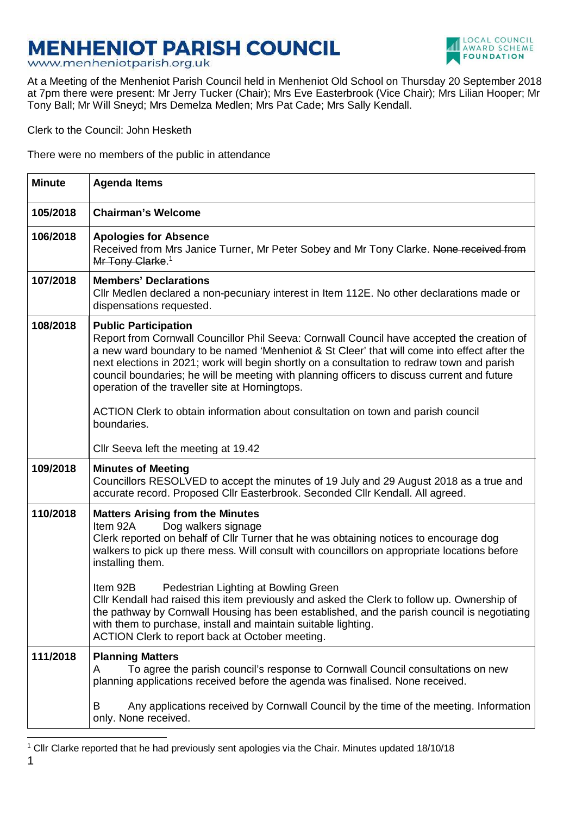# **MENHENIOT PARISH COUNCIL**



www.menheniotparish.org.uk

At a Meeting of the Menheniot Parish Council held in Menheniot Old School on Thursday 20 September 2018 at 7pm there were present: Mr Jerry Tucker (Chair); Mrs Eve Easterbrook (Vice Chair); Mrs Lilian Hooper; Mr Tony Ball; Mr Will Sneyd; Mrs Demelza Medlen; Mrs Pat Cade; Mrs Sally Kendall.

Clerk to the Council: John Hesketh

There were no members of the public in attendance

| <b>Minute</b> | <b>Agenda Items</b>                                                                                                                                                                                                                                                                                                                                                                                                                                                       |
|---------------|---------------------------------------------------------------------------------------------------------------------------------------------------------------------------------------------------------------------------------------------------------------------------------------------------------------------------------------------------------------------------------------------------------------------------------------------------------------------------|
| 105/2018      | <b>Chairman's Welcome</b>                                                                                                                                                                                                                                                                                                                                                                                                                                                 |
| 106/2018      | <b>Apologies for Absence</b><br>Received from Mrs Janice Turner, Mr Peter Sobey and Mr Tony Clarke. None received from<br>Mr Tony Clarke. <sup>1</sup>                                                                                                                                                                                                                                                                                                                    |
| 107/2018      | <b>Members' Declarations</b><br>CIIr Medlen declared a non-pecuniary interest in Item 112E. No other declarations made or<br>dispensations requested.                                                                                                                                                                                                                                                                                                                     |
| 108/2018      | <b>Public Participation</b><br>Report from Cornwall Councillor Phil Seeva: Cornwall Council have accepted the creation of<br>a new ward boundary to be named 'Menheniot & St Cleer' that will come into effect after the<br>next elections in 2021; work will begin shortly on a consultation to redraw town and parish<br>council boundaries; he will be meeting with planning officers to discuss current and future<br>operation of the traveller site at Horningtops. |
|               | ACTION Clerk to obtain information about consultation on town and parish council<br>boundaries.                                                                                                                                                                                                                                                                                                                                                                           |
|               | Cllr Seeva left the meeting at 19.42                                                                                                                                                                                                                                                                                                                                                                                                                                      |
| 109/2018      | <b>Minutes of Meeting</b><br>Councillors RESOLVED to accept the minutes of 19 July and 29 August 2018 as a true and<br>accurate record. Proposed Cllr Easterbrook. Seconded Cllr Kendall. All agreed.                                                                                                                                                                                                                                                                     |
| 110/2018      | <b>Matters Arising from the Minutes</b><br>Item 92A<br>Dog walkers signage<br>Clerk reported on behalf of Cllr Turner that he was obtaining notices to encourage dog<br>walkers to pick up there mess. Will consult with councillors on appropriate locations before<br>installing them.<br>Item 92B<br>Pedestrian Lighting at Bowling Green<br>Cllr Kendall had raised this item previously and asked the Clerk to follow up. Ownership of                               |
|               | the pathway by Cornwall Housing has been established, and the parish council is negotiating<br>with them to purchase, install and maintain suitable lighting.<br>ACTION Clerk to report back at October meeting.                                                                                                                                                                                                                                                          |
| 111/2018      | <b>Planning Matters</b><br>To agree the parish council's response to Cornwall Council consultations on new<br>A<br>planning applications received before the agenda was finalised. None received.                                                                                                                                                                                                                                                                         |
|               | Any applications received by Cornwall Council by the time of the meeting. Information<br>B<br>only. None received.                                                                                                                                                                                                                                                                                                                                                        |

l

<sup>&</sup>lt;sup>1</sup> Cllr Clarke reported that he had previously sent apologies via the Chair. Minutes updated 18/10/18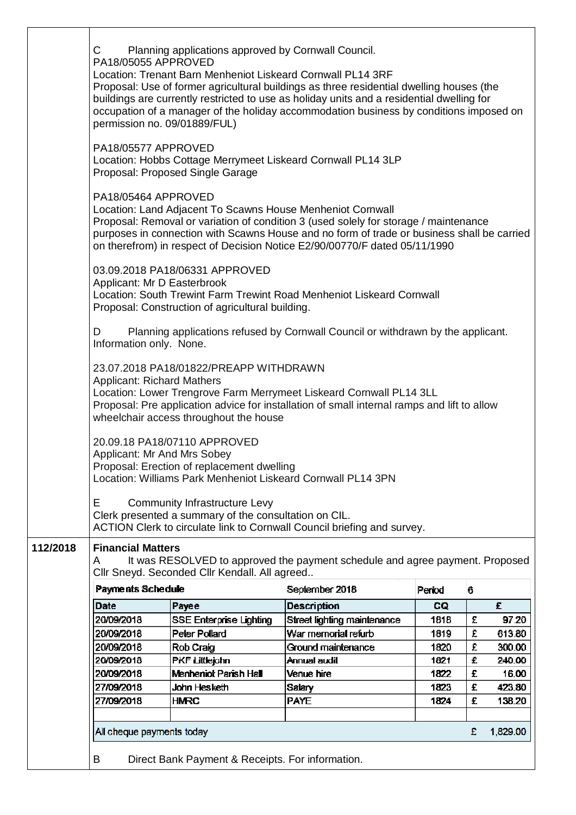|          | С                                                                                                                                                                                                                                                                                                                                                                                                     | Planning applications approved by Cornwall Council.                                                                                        |                                                                                                                                                                                                                                                                  |        |   |          |  |  |
|----------|-------------------------------------------------------------------------------------------------------------------------------------------------------------------------------------------------------------------------------------------------------------------------------------------------------------------------------------------------------------------------------------------------------|--------------------------------------------------------------------------------------------------------------------------------------------|------------------------------------------------------------------------------------------------------------------------------------------------------------------------------------------------------------------------------------------------------------------|--------|---|----------|--|--|
|          | PA18/05055 APPROVED<br>Location: Trenant Barn Menheniot Liskeard Cornwall PL14 3RF<br>Proposal: Use of former agricultural buildings as three residential dwelling houses (the<br>buildings are currently restricted to use as holiday units and a residential dwelling for<br>occupation of a manager of the holiday accommodation business by conditions imposed on<br>permission no. 09/01889/FUL) |                                                                                                                                            |                                                                                                                                                                                                                                                                  |        |   |          |  |  |
|          | PA18/05577 APPROVED                                                                                                                                                                                                                                                                                                                                                                                   | Proposal: Proposed Single Garage                                                                                                           | Location: Hobbs Cottage Merrymeet Liskeard Cornwall PL14 3LP                                                                                                                                                                                                     |        |   |          |  |  |
|          | PA18/05464 APPROVED                                                                                                                                                                                                                                                                                                                                                                                   | Location: Land Adjacent To Scawns House Menheniot Cornwall                                                                                 | Proposal: Removal or variation of condition 3 (used solely for storage / maintenance<br>purposes in connection with Scawns House and no form of trade or business shall be carried<br>on therefrom) in respect of Decision Notice E2/90/00770/F dated 05/11/1990 |        |   |          |  |  |
|          | Applicant: Mr D Easterbrook                                                                                                                                                                                                                                                                                                                                                                           | 03.09.2018 PA18/06331 APPROVED<br>Proposal: Construction of agricultural building.                                                         | Location: South Trewint Farm Trewint Road Menheniot Liskeard Cornwall                                                                                                                                                                                            |        |   |          |  |  |
|          | D<br>Information only. None.                                                                                                                                                                                                                                                                                                                                                                          |                                                                                                                                            | Planning applications refused by Cornwall Council or withdrawn by the applicant.                                                                                                                                                                                 |        |   |          |  |  |
|          | <b>Applicant: Richard Mathers</b>                                                                                                                                                                                                                                                                                                                                                                     | 23.07.2018 PA18/01822/PREAPP WITHDRAWN<br>wheelchair access throughout the house                                                           | Location: Lower Trengrove Farm Merrymeet Liskeard Cornwall PL14 3LL<br>Proposal: Pre application advice for installation of small internal ramps and lift to allow                                                                                               |        |   |          |  |  |
|          | Applicant: Mr And Mrs Sobey                                                                                                                                                                                                                                                                                                                                                                           | 20.09.18 PA18/07110 APPROVED<br>Proposal: Erection of replacement dwelling<br>Location: Williams Park Menheniot Liskeard Cornwall PL14 3PN |                                                                                                                                                                                                                                                                  |        |   |          |  |  |
|          | E.                                                                                                                                                                                                                                                                                                                                                                                                    | <b>Community Infrastructure Levy</b><br>Clerk presented a summary of the consultation on CIL.                                              | ACTION Clerk to circulate link to Cornwall Council briefing and survey.                                                                                                                                                                                          |        |   |          |  |  |
| 112/2018 | <b>Financial Matters</b><br>A                                                                                                                                                                                                                                                                                                                                                                         | Cllr Sneyd. Seconded Cllr Kendall. All agreed                                                                                              | It was RESOLVED to approved the payment schedule and agree payment. Proposed                                                                                                                                                                                     |        |   |          |  |  |
|          | Payments Schedule                                                                                                                                                                                                                                                                                                                                                                                     |                                                                                                                                            | September 2018                                                                                                                                                                                                                                                   | Period | 6 |          |  |  |
|          | Date                                                                                                                                                                                                                                                                                                                                                                                                  | Payee                                                                                                                                      | <b>Description</b>                                                                                                                                                                                                                                               | CQ     |   | £        |  |  |
|          | 20/09/2018                                                                                                                                                                                                                                                                                                                                                                                            | SSE Enterprise Lighting                                                                                                                    | Street lighting maintenance                                                                                                                                                                                                                                      | 1818   | £ | 97.20    |  |  |
|          | 20/09/2018                                                                                                                                                                                                                                                                                                                                                                                            | Peter Pollard                                                                                                                              | War memorial refurb                                                                                                                                                                                                                                              | 1819   | £ | 613.80   |  |  |
|          | 20/09/2018                                                                                                                                                                                                                                                                                                                                                                                            | Rob Craig                                                                                                                                  | Ground maintenance                                                                                                                                                                                                                                               | 1820   | £ | 300.00   |  |  |
|          | 20/09/2018                                                                                                                                                                                                                                                                                                                                                                                            | <b>PKF Littlejohn</b>                                                                                                                      | Annual audit                                                                                                                                                                                                                                                     | 1821   | £ | 240.00   |  |  |
|          | 20/09/2018                                                                                                                                                                                                                                                                                                                                                                                            | Menheniot Parish Hall                                                                                                                      | Venue hire                                                                                                                                                                                                                                                       | 1822   | £ | 16.00    |  |  |
|          | 27/09/2018                                                                                                                                                                                                                                                                                                                                                                                            | John Hesketh                                                                                                                               | Salary                                                                                                                                                                                                                                                           | 1823   | £ | 423.80   |  |  |
|          | 27/09/2018                                                                                                                                                                                                                                                                                                                                                                                            | <b>HMRC</b>                                                                                                                                | <b>PAYE</b>                                                                                                                                                                                                                                                      | 1824   | £ | 138.20   |  |  |
|          | All cheque payments today                                                                                                                                                                                                                                                                                                                                                                             |                                                                                                                                            |                                                                                                                                                                                                                                                                  |        | £ | 1,829.00 |  |  |
|          |                                                                                                                                                                                                                                                                                                                                                                                                       |                                                                                                                                            |                                                                                                                                                                                                                                                                  |        |   |          |  |  |
|          | B                                                                                                                                                                                                                                                                                                                                                                                                     | Direct Bank Payment & Receipts. For information.                                                                                           |                                                                                                                                                                                                                                                                  |        |   |          |  |  |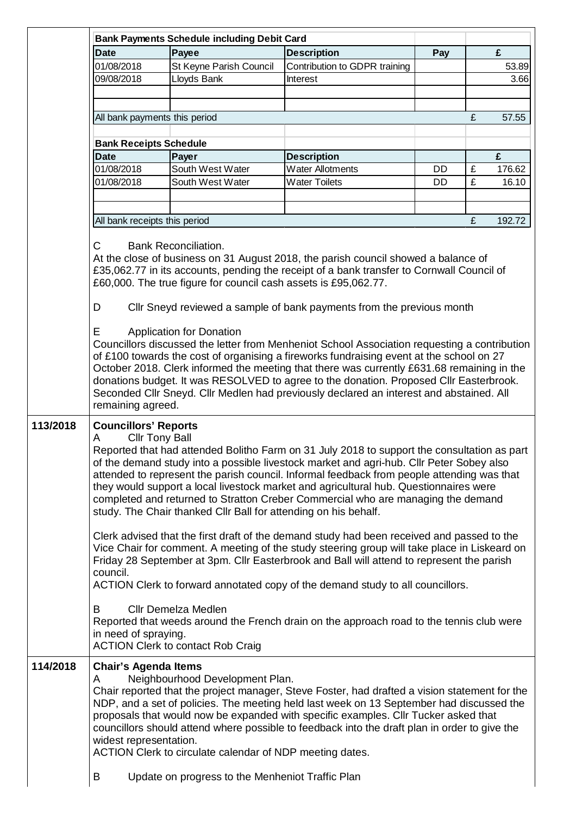|          |                                                                                                                                                                                                                                                                                                                                                                                                                                                                                                                                                                                                    | <b>Bank Payments Schedule including Debit Card</b> |                                                                                                                                                                                                                                                                                                                                                                                  |     |   |        |  |
|----------|----------------------------------------------------------------------------------------------------------------------------------------------------------------------------------------------------------------------------------------------------------------------------------------------------------------------------------------------------------------------------------------------------------------------------------------------------------------------------------------------------------------------------------------------------------------------------------------------------|----------------------------------------------------|----------------------------------------------------------------------------------------------------------------------------------------------------------------------------------------------------------------------------------------------------------------------------------------------------------------------------------------------------------------------------------|-----|---|--------|--|
|          | <b>Date</b>                                                                                                                                                                                                                                                                                                                                                                                                                                                                                                                                                                                        | Payee                                              | <b>Description</b>                                                                                                                                                                                                                                                                                                                                                               | Pay |   | £      |  |
|          | 01/08/2018                                                                                                                                                                                                                                                                                                                                                                                                                                                                                                                                                                                         | St Keyne Parish Council                            | Contribution to GDPR training                                                                                                                                                                                                                                                                                                                                                    |     |   | 53.89  |  |
|          | 09/08/2018                                                                                                                                                                                                                                                                                                                                                                                                                                                                                                                                                                                         | Lloyds Bank                                        | Interest                                                                                                                                                                                                                                                                                                                                                                         |     |   | 3.66   |  |
|          |                                                                                                                                                                                                                                                                                                                                                                                                                                                                                                                                                                                                    |                                                    |                                                                                                                                                                                                                                                                                                                                                                                  |     |   |        |  |
|          | All bank payments this period                                                                                                                                                                                                                                                                                                                                                                                                                                                                                                                                                                      |                                                    |                                                                                                                                                                                                                                                                                                                                                                                  |     | £ | 57.55  |  |
|          |                                                                                                                                                                                                                                                                                                                                                                                                                                                                                                                                                                                                    |                                                    |                                                                                                                                                                                                                                                                                                                                                                                  |     |   |        |  |
|          | <b>Bank Receipts Schedule</b><br><b>Date</b>                                                                                                                                                                                                                                                                                                                                                                                                                                                                                                                                                       | Payer                                              | <b>Description</b>                                                                                                                                                                                                                                                                                                                                                               |     |   | £      |  |
|          | 01/08/2018                                                                                                                                                                                                                                                                                                                                                                                                                                                                                                                                                                                         | South West Water                                   | <b>Water Allotments</b>                                                                                                                                                                                                                                                                                                                                                          | DD. | £ | 176.62 |  |
|          | 01/08/2018                                                                                                                                                                                                                                                                                                                                                                                                                                                                                                                                                                                         | South West Water                                   | <b>Water Toilets</b>                                                                                                                                                                                                                                                                                                                                                             | DD. | £ | 16.10  |  |
|          |                                                                                                                                                                                                                                                                                                                                                                                                                                                                                                                                                                                                    |                                                    |                                                                                                                                                                                                                                                                                                                                                                                  |     |   |        |  |
|          |                                                                                                                                                                                                                                                                                                                                                                                                                                                                                                                                                                                                    |                                                    |                                                                                                                                                                                                                                                                                                                                                                                  |     |   |        |  |
|          | All bank receipts this period                                                                                                                                                                                                                                                                                                                                                                                                                                                                                                                                                                      |                                                    |                                                                                                                                                                                                                                                                                                                                                                                  |     | £ | 192.72 |  |
|          |                                                                                                                                                                                                                                                                                                                                                                                                                                                                                                                                                                                                    |                                                    |                                                                                                                                                                                                                                                                                                                                                                                  |     |   |        |  |
|          | Е                                                                                                                                                                                                                                                                                                                                                                                                                                                                                                                                                                                                  | <b>Application for Donation</b>                    | Councillors discussed the letter from Menheniot School Association requesting a contribution<br>of £100 towards the cost of organising a fireworks fundraising event at the school on 27<br>October 2018. Clerk informed the meeting that there was currently £631.68 remaining in the<br>donations budget. It was RESOLVED to agree to the donation. Proposed Cllr Easterbrook. |     |   |        |  |
|          | remaining agreed.                                                                                                                                                                                                                                                                                                                                                                                                                                                                                                                                                                                  |                                                    | Seconded Cllr Sneyd. Cllr Medlen had previously declared an interest and abstained. All                                                                                                                                                                                                                                                                                          |     |   |        |  |
| 113/2018 | <b>Councillors' Reports</b><br><b>Cllr Tony Ball</b><br>A<br>Reported that had attended Bolitho Farm on 31 July 2018 to support the consultation as part<br>of the demand study into a possible livestock market and agri-hub. Cllr Peter Sobey also<br>attended to represent the parish council. Informal feedback from people attending was that<br>they would support a local livestock market and agricultural hub. Questionnaires were<br>completed and returned to Stratton Creber Commercial who are managing the demand<br>study. The Chair thanked Cllr Ball for attending on his behalf. |                                                    |                                                                                                                                                                                                                                                                                                                                                                                  |     |   |        |  |
|          | Clerk advised that the first draft of the demand study had been received and passed to the<br>Vice Chair for comment. A meeting of the study steering group will take place in Liskeard on<br>Friday 28 September at 3pm. Cllr Easterbrook and Ball will attend to represent the parish<br>council.<br>ACTION Clerk to forward annotated copy of the demand study to all councillors.                                                                                                                                                                                                              |                                                    |                                                                                                                                                                                                                                                                                                                                                                                  |     |   |        |  |
|          | B<br><b>Cllr Demelza Medlen</b><br>Reported that weeds around the French drain on the approach road to the tennis club were<br>in need of spraying.<br><b>ACTION Clerk to contact Rob Craig</b>                                                                                                                                                                                                                                                                                                                                                                                                    |                                                    |                                                                                                                                                                                                                                                                                                                                                                                  |     |   |        |  |
| 114/2018 | <b>Chair's Agenda Items</b><br>Neighbourhood Development Plan.<br>A<br>Chair reported that the project manager, Steve Foster, had drafted a vision statement for the<br>NDP, and a set of policies. The meeting held last week on 13 September had discussed the<br>proposals that would now be expanded with specific examples. Cllr Tucker asked that<br>councillors should attend where possible to feedback into the draft plan in order to give the<br>widest representation.<br>ACTION Clerk to circulate calendar of NDP meeting dates.                                                     |                                                    |                                                                                                                                                                                                                                                                                                                                                                                  |     |   |        |  |
|          | B                                                                                                                                                                                                                                                                                                                                                                                                                                                                                                                                                                                                  | Update on progress to the Menheniot Traffic Plan   |                                                                                                                                                                                                                                                                                                                                                                                  |     |   |        |  |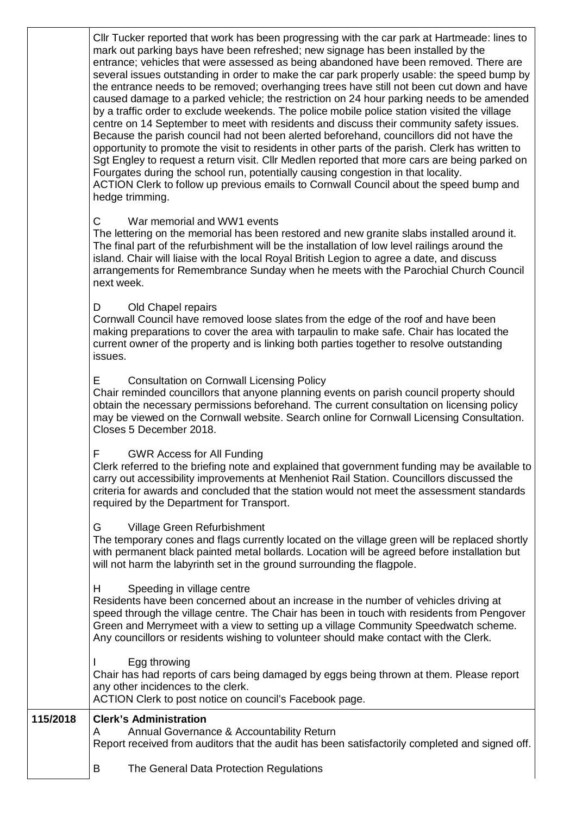Cllr Tucker reported that work has been progressing with the car park at Hartmeade: lines to mark out parking bays have been refreshed; new signage has been installed by the entrance; vehicles that were assessed as being abandoned have been removed. There are several issues outstanding in order to make the car park properly usable: the speed bump by the entrance needs to be removed; overhanging trees have still not been cut down and have caused damage to a parked vehicle; the restriction on 24 hour parking needs to be amended by a traffic order to exclude weekends. The police mobile police station visited the village centre on 14 September to meet with residents and discuss their community safety issues. Because the parish council had not been alerted beforehand, councillors did not have the opportunity to promote the visit to residents in other parts of the parish. Clerk has written to Sgt Engley to request a return visit. Cllr Medlen reported that more cars are being parked on Fourgates during the school run, potentially causing congestion in that locality. ACTION Clerk to follow up previous emails to Cornwall Council about the speed bump and hedge trimming.

# C War memorial and WW1 events

The lettering on the memorial has been restored and new granite slabs installed around it. The final part of the refurbishment will be the installation of low level railings around the island. Chair will liaise with the local Royal British Legion to agree a date, and discuss arrangements for Remembrance Sunday when he meets with the Parochial Church Council next week.

## D Old Chapel repairs

Cornwall Council have removed loose slates from the edge of the roof and have been making preparations to cover the area with tarpaulin to make safe. Chair has located the current owner of the property and is linking both parties together to resolve outstanding issues.

### E Consultation on Cornwall Licensing Policy

Chair reminded councillors that anyone planning events on parish council property should obtain the necessary permissions beforehand. The current consultation on licensing policy may be viewed on the Cornwall website. Search online for Cornwall Licensing Consultation. Closes 5 December 2018.

### F GWR Access for All Funding

Clerk referred to the briefing note and explained that government funding may be available to carry out accessibility improvements at Menheniot Rail Station. Councillors discussed the criteria for awards and concluded that the station would not meet the assessment standards required by the Department for Transport.

### G Village Green Refurbishment

The temporary cones and flags currently located on the village green will be replaced shortly with permanent black painted metal bollards. Location will be agreed before installation but will not harm the labyrinth set in the ground surrounding the flagpole.

### H Speeding in village centre

Residents have been concerned about an increase in the number of vehicles driving at speed through the village centre. The Chair has been in touch with residents from Pengover Green and Merrymeet with a view to setting up a village Community Speedwatch scheme. Any councillors or residents wishing to volunteer should make contact with the Clerk.

#### Egg throwing

Chair has had reports of cars being damaged by eggs being thrown at them. Please report any other incidences to the clerk.

ACTION Clerk to post notice on council's Facebook page.

### **115/2018 Clerk's Administration**

- A Annual Governance & Accountability Return Report received from auditors that the audit has been satisfactorily completed and signed off.
- - B The General Data Protection Regulations